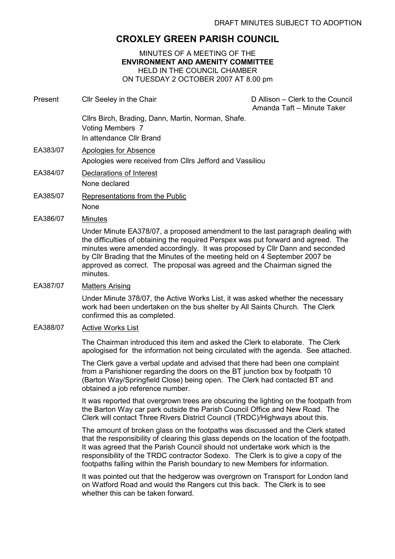# CROXLEY GREEN PARISH COUNCIL

## MINUTES OF A MEETING OF THE ENVIRONMENT AND AMENITY COMMITTEE HELD IN THE COUNCIL CHAMBER ON TUESDAY 2 OCTOBER 2007 AT 8.00 pm

| Present  | Cllr Seeley in the Chair                                                                                  | D Allison - Clerk to the Council<br>Amanda Taft - Minute Taker |
|----------|-----------------------------------------------------------------------------------------------------------|----------------------------------------------------------------|
|          | Cllrs Birch, Brading, Dann, Martin, Norman, Shafe.<br><b>Voting Members 7</b><br>In attendance Cllr Brand |                                                                |
| EA383/07 | Apologies for Absence<br>Apologies were received from Cllrs Jefford and Vassiliou                         |                                                                |
| EA384/07 | Declarations of Interest<br>None declared                                                                 |                                                                |
| EA385/07 | Representations from the Public<br><b>None</b>                                                            |                                                                |
| EA386/07 | Minutes                                                                                                   |                                                                |

Under Minute EA378/07, a proposed amendment to the last paragraph dealing with the difficulties of obtaining the required Perspex was put forward and agreed. The minutes were amended accordingly. It was proposed by Cllr Dann and seconded by Cllr Brading that the Minutes of the meeting held on 4 September 2007 be approved as correct. The proposal was agreed and the Chairman signed the minutes.

#### EA387/07 Matters Arising

Under Minute 378/07, the Active Works List, it was asked whether the necessary work had been undertaken on the bus shelter by All Saints Church. The Clerk confirmed this as completed.

#### EA388/07 Active Works List

The Chairman introduced this item and asked the Clerk to elaborate. The Clerk apologised for the information not being circulated with the agenda. See attached.

The Clerk gave a verbal update and advised that there had been one complaint from a Parishioner regarding the doors on the BT junction box by footpath 10 (Barton Way/Springfield Close) being open. The Clerk had contacted BT and obtained a job reference number.

It was reported that overgrown trees are obscuring the lighting on the footpath from the Barton Way car park outside the Parish Council Office and New Road. The Clerk will contact Three Rivers District Council (TRDC)/Highways about this.

The amount of broken glass on the footpaths was discussed and the Clerk stated that the responsibility of clearing this glass depends on the location of the footpath. It was agreed that the Parish Council should not undertake work which is the responsibility of the TRDC contractor Sodexo. The Clerk is to give a copy of the footpaths falling within the Parish boundary to new Members for information.

It was pointed out that the hedgerow was overgrown on Transport for London land on Watford Road and would the Rangers cut this back. The Clerk is to see whether this can be taken forward.